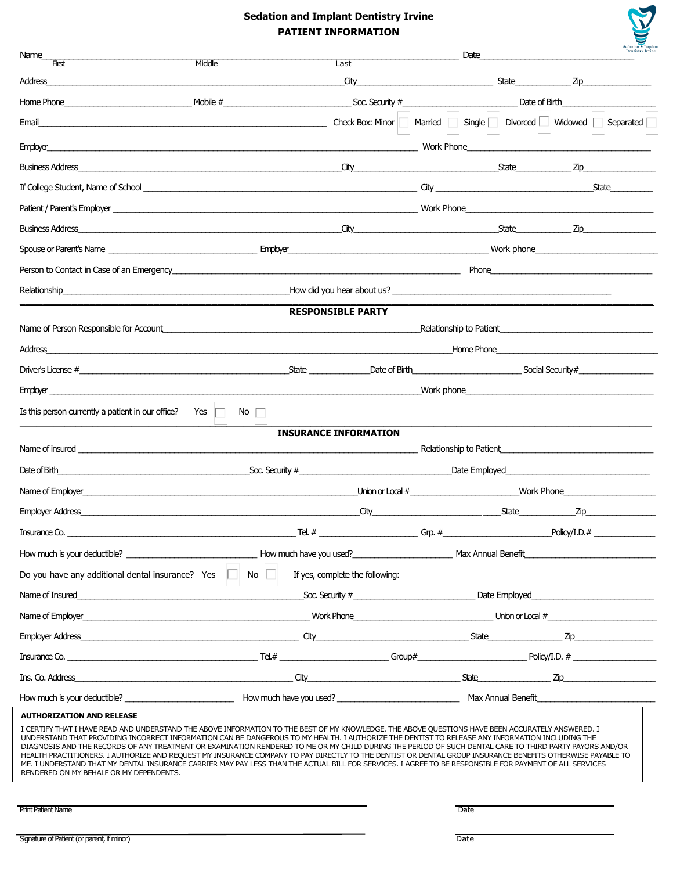### **Sedation and Implant Dentistry Irvine PATIENT INFORMATION**

| <b>Sedation &amp; Implant</b><br><b>Dentistry Irvine</b> |
|----------------------------------------------------------|
|                                                          |

| Name_<br>$\overline{H}$                                                                                                                                                                                                                                                                                                                                                                                                                                                                                                                                                                                                                                                                                                                                                                                                            |                                                                                                                                                                                                                                      |                                 | Date                                                                                                                                                                                                                          |                                |       |
|------------------------------------------------------------------------------------------------------------------------------------------------------------------------------------------------------------------------------------------------------------------------------------------------------------------------------------------------------------------------------------------------------------------------------------------------------------------------------------------------------------------------------------------------------------------------------------------------------------------------------------------------------------------------------------------------------------------------------------------------------------------------------------------------------------------------------------|--------------------------------------------------------------------------------------------------------------------------------------------------------------------------------------------------------------------------------------|---------------------------------|-------------------------------------------------------------------------------------------------------------------------------------------------------------------------------------------------------------------------------|--------------------------------|-------|
| Address                                                                                                                                                                                                                                                                                                                                                                                                                                                                                                                                                                                                                                                                                                                                                                                                                            | Middle                                                                                                                                                                                                                               | Last<br>City                    |                                                                                                                                                                                                                               |                                |       |
| Home Phone <b>Construction of Birth</b> Construction of Birth Construction of Birth Construction of Birth Construction of Birth Construction of Birth Construction of Birth Construction of Birth Construction of Birth Constructio                                                                                                                                                                                                                                                                                                                                                                                                                                                                                                                                                                                                |                                                                                                                                                                                                                                      |                                 |                                                                                                                                                                                                                               |                                |       |
| Email                                                                                                                                                                                                                                                                                                                                                                                                                                                                                                                                                                                                                                                                                                                                                                                                                              |                                                                                                                                                                                                                                      |                                 | Check Box: Minor   Married   Single   Divorced   Widowed   Separated                                                                                                                                                          |                                |       |
| Employer_                                                                                                                                                                                                                                                                                                                                                                                                                                                                                                                                                                                                                                                                                                                                                                                                                          | work Phone <b>Contract the Contract of Contract Contract of Contract Contract Contract On Contract Contract On Contract On Contract On Contract On Contract On Contract On Contract On Contract On Contract On Contract On Contr</b> |                                 |                                                                                                                                                                                                                               |                                |       |
|                                                                                                                                                                                                                                                                                                                                                                                                                                                                                                                                                                                                                                                                                                                                                                                                                                    |                                                                                                                                                                                                                                      |                                 | <u>City Zip Zip 2014</u>                                                                                                                                                                                                      |                                |       |
|                                                                                                                                                                                                                                                                                                                                                                                                                                                                                                                                                                                                                                                                                                                                                                                                                                    |                                                                                                                                                                                                                                      |                                 |                                                                                                                                                                                                                               |                                | State |
|                                                                                                                                                                                                                                                                                                                                                                                                                                                                                                                                                                                                                                                                                                                                                                                                                                    |                                                                                                                                                                                                                                      |                                 |                                                                                                                                                                                                                               |                                |       |
|                                                                                                                                                                                                                                                                                                                                                                                                                                                                                                                                                                                                                                                                                                                                                                                                                                    |                                                                                                                                                                                                                                      |                                 |                                                                                                                                                                                                                               |                                |       |
| Spouse or Parent's Name expression contract the contract of the contract of the contract of the contract of the contract of the contract of the contract of the contract of the contract of the contract of the contract of th                                                                                                                                                                                                                                                                                                                                                                                                                                                                                                                                                                                                     |                                                                                                                                                                                                                                      |                                 |                                                                                                                                                                                                                               |                                |       |
|                                                                                                                                                                                                                                                                                                                                                                                                                                                                                                                                                                                                                                                                                                                                                                                                                                    |                                                                                                                                                                                                                                      |                                 |                                                                                                                                                                                                                               |                                |       |
| Relationship expressions are constructed as a set of the How did you hear about us?                                                                                                                                                                                                                                                                                                                                                                                                                                                                                                                                                                                                                                                                                                                                                |                                                                                                                                                                                                                                      |                                 |                                                                                                                                                                                                                               |                                |       |
|                                                                                                                                                                                                                                                                                                                                                                                                                                                                                                                                                                                                                                                                                                                                                                                                                                    |                                                                                                                                                                                                                                      | <b>RESPONSIBLE PARTY</b>        |                                                                                                                                                                                                                               |                                |       |
| Name of Person Responsible for Account entries and the content of the content of the content of the content of                                                                                                                                                                                                                                                                                                                                                                                                                                                                                                                                                                                                                                                                                                                     |                                                                                                                                                                                                                                      |                                 |                                                                                                                                                                                                                               |                                |       |
|                                                                                                                                                                                                                                                                                                                                                                                                                                                                                                                                                                                                                                                                                                                                                                                                                                    |                                                                                                                                                                                                                                      |                                 |                                                                                                                                                                                                                               | Home Phone <b>Example 2018</b> |       |
|                                                                                                                                                                                                                                                                                                                                                                                                                                                                                                                                                                                                                                                                                                                                                                                                                                    |                                                                                                                                                                                                                                      |                                 |                                                                                                                                                                                                                               |                                |       |
| Employer <b>Employer</b>                                                                                                                                                                                                                                                                                                                                                                                                                                                                                                                                                                                                                                                                                                                                                                                                           |                                                                                                                                                                                                                                      |                                 | Work phone will be a state of the contract of the contract of the contract of the contract of the contract of the contract of the contract of the contract of the contract of the contract of the contract of the contract of |                                |       |
| Is this person currently a patient in our office? Yes $\Box$                                                                                                                                                                                                                                                                                                                                                                                                                                                                                                                                                                                                                                                                                                                                                                       | No $\Box$                                                                                                                                                                                                                            |                                 |                                                                                                                                                                                                                               |                                |       |
|                                                                                                                                                                                                                                                                                                                                                                                                                                                                                                                                                                                                                                                                                                                                                                                                                                    |                                                                                                                                                                                                                                      | <b>INSURANCE INFORMATION</b>    |                                                                                                                                                                                                                               |                                |       |
|                                                                                                                                                                                                                                                                                                                                                                                                                                                                                                                                                                                                                                                                                                                                                                                                                                    |                                                                                                                                                                                                                                      |                                 |                                                                                                                                                                                                                               |                                |       |
|                                                                                                                                                                                                                                                                                                                                                                                                                                                                                                                                                                                                                                                                                                                                                                                                                                    |                                                                                                                                                                                                                                      |                                 |                                                                                                                                                                                                                               |                                |       |
|                                                                                                                                                                                                                                                                                                                                                                                                                                                                                                                                                                                                                                                                                                                                                                                                                                    |                                                                                                                                                                                                                                      |                                 |                                                                                                                                                                                                                               |                                |       |
|                                                                                                                                                                                                                                                                                                                                                                                                                                                                                                                                                                                                                                                                                                                                                                                                                                    |                                                                                                                                                                                                                                      |                                 |                                                                                                                                                                                                                               |                                |       |
| $\begin{minipage}{.4\linewidth} \textbf{To} & \textbf{To} \\ \textbf{To} & \textbf{or} \\ \textbf{To} & \textbf{or} \\ \textbf{To} & \textbf{or} \\ \textbf{To} & \textbf{or} \\ \textbf{To} & \textbf{or} \\ \textbf{To} & \textbf{or} \\ \textbf{To} & \textbf{or} \\ \textbf{To} & \textbf{or} \\ \textbf{To} & \textbf{or} \\ \textbf{To} & \textbf{or} \\ \textbf{To} & \textbf{or} \\ \textbf{To} & \textbf{or} \\ \textbf{To} & \textbf{or} \\ \textbf{To} & \textbf{or$                                                                                                                                                                                                                                                                                                                                                    |                                                                                                                                                                                                                                      |                                 |                                                                                                                                                                                                                               |                                |       |
|                                                                                                                                                                                                                                                                                                                                                                                                                                                                                                                                                                                                                                                                                                                                                                                                                                    |                                                                                                                                                                                                                                      |                                 |                                                                                                                                                                                                                               |                                |       |
| Do you have any additional dental insurance? Yes $\Box$ No $\Box$                                                                                                                                                                                                                                                                                                                                                                                                                                                                                                                                                                                                                                                                                                                                                                  |                                                                                                                                                                                                                                      | If yes, complete the following: |                                                                                                                                                                                                                               |                                |       |
| Name of Insured example the control of the Employed Date Employed Date Employed Date Employed Date Employed Date Employed                                                                                                                                                                                                                                                                                                                                                                                                                                                                                                                                                                                                                                                                                                          |                                                                                                                                                                                                                                      |                                 |                                                                                                                                                                                                                               |                                |       |
|                                                                                                                                                                                                                                                                                                                                                                                                                                                                                                                                                                                                                                                                                                                                                                                                                                    |                                                                                                                                                                                                                                      |                                 |                                                                                                                                                                                                                               |                                |       |
|                                                                                                                                                                                                                                                                                                                                                                                                                                                                                                                                                                                                                                                                                                                                                                                                                                    |                                                                                                                                                                                                                                      |                                 |                                                                                                                                                                                                                               |                                |       |
|                                                                                                                                                                                                                                                                                                                                                                                                                                                                                                                                                                                                                                                                                                                                                                                                                                    |                                                                                                                                                                                                                                      |                                 |                                                                                                                                                                                                                               |                                |       |
|                                                                                                                                                                                                                                                                                                                                                                                                                                                                                                                                                                                                                                                                                                                                                                                                                                    |                                                                                                                                                                                                                                      |                                 |                                                                                                                                                                                                                               |                                |       |
|                                                                                                                                                                                                                                                                                                                                                                                                                                                                                                                                                                                                                                                                                                                                                                                                                                    |                                                                                                                                                                                                                                      |                                 |                                                                                                                                                                                                                               |                                |       |
| <b>AUTHORIZATION AND RELEASE</b>                                                                                                                                                                                                                                                                                                                                                                                                                                                                                                                                                                                                                                                                                                                                                                                                   |                                                                                                                                                                                                                                      |                                 |                                                                                                                                                                                                                               |                                |       |
| I CERTIFY THAT I HAVE READ AND UNDERSTAND THE ABOVE INFORMATION TO THE BEST OF MY KNOWLEDGE. THE ABOVE QUESTIONS HAVE BEEN ACCURATELY ANSWERED. I<br>UNDERSTAND THAT PROVIDING INCORRECT INFORMATION CAN BE DANGEROUS TO MY HEALTH. I AUTHORIZE THE DENTIST TO RELEASE ANY INFORMATION INCLUDING THE<br>DIAGNOSIS AND THE RECORDS OF ANY TREATMENT OR EXAMINATION RENDERED TO ME OR MY CHILD DURING THE PERIOD OF SUCH DENTAL CARE TO THIRD PARTY PAYORS AND/OR<br>HEALTH PRACTITIONERS. I AUTHORIZE AND REQUEST MY INSURANCE COMPANY TO PAY DIRECTLY TO THE DENTIST OR DENTAL GROUP INSURANCE BENEFITS OTHERWISE PAYABLE TO<br>ME. I UNDERSTAND THAT MY DENTAL INSURANCE CARRIER MAY PAY LESS THAN THE ACTUAL BILL FOR SERVICES. I AGREE TO BE RESPONSIBLE FOR PAYMENT OF ALL SERVICES<br>RENDERED ON MY BEHALF OR MY DEPENDENTS. |                                                                                                                                                                                                                                      |                                 |                                                                                                                                                                                                                               |                                |       |

Print Patient Name Date of the Community of the Community of the Community of the Community of the Community of the Community of the Community of the Community of the Community of the Community of the Community of the Comm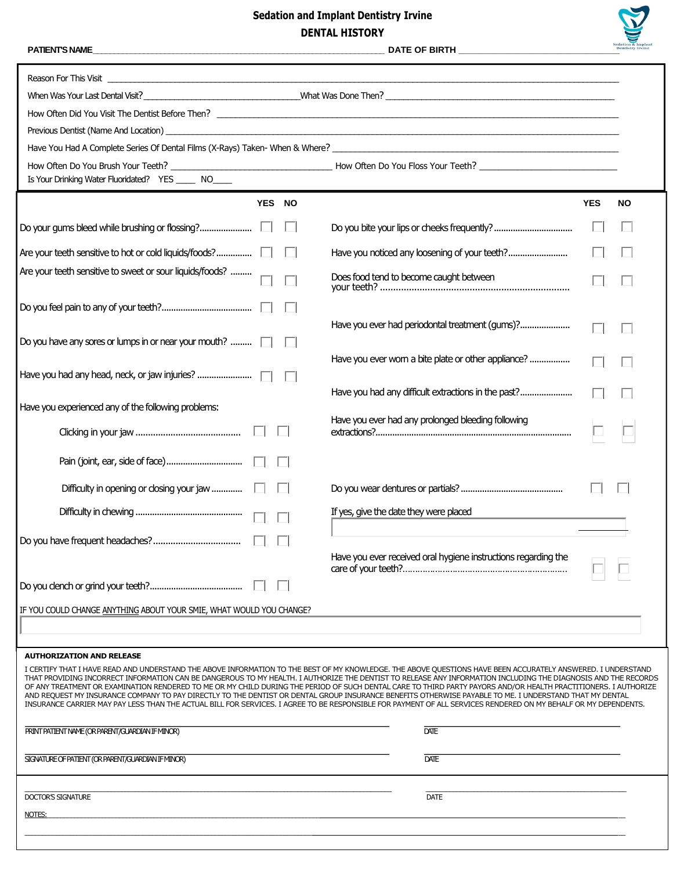# **Sedation and Implant Dentistry Irvine DENTAL HISTORY**



 $\overline{\mathbf{1}}$ 

| Is Your Drinking Water Fluoridated? YES _____ NO_____                                                                                                                                                                                                                                                                                                                                                                                                                                                                                                                                                                                                                                                                                                                                                                           |                                                                |            |           |
|---------------------------------------------------------------------------------------------------------------------------------------------------------------------------------------------------------------------------------------------------------------------------------------------------------------------------------------------------------------------------------------------------------------------------------------------------------------------------------------------------------------------------------------------------------------------------------------------------------------------------------------------------------------------------------------------------------------------------------------------------------------------------------------------------------------------------------|----------------------------------------------------------------|------------|-----------|
| YES NO                                                                                                                                                                                                                                                                                                                                                                                                                                                                                                                                                                                                                                                                                                                                                                                                                          |                                                                | <b>YES</b> | <b>NO</b> |
|                                                                                                                                                                                                                                                                                                                                                                                                                                                                                                                                                                                                                                                                                                                                                                                                                                 |                                                                |            |           |
| Are your teeth sensitive to hot or cold liquids/foods? [                                                                                                                                                                                                                                                                                                                                                                                                                                                                                                                                                                                                                                                                                                                                                                        | Have you noticed any loosening of your teeth?                  |            |           |
| Are your teeth sensitive to sweet or sour liquids/foods?                                                                                                                                                                                                                                                                                                                                                                                                                                                                                                                                                                                                                                                                                                                                                                        | Does food tend to become caught between                        |            |           |
|                                                                                                                                                                                                                                                                                                                                                                                                                                                                                                                                                                                                                                                                                                                                                                                                                                 |                                                                |            |           |
| Do you have any sores or lumps in or near your mouth? $\Box$                                                                                                                                                                                                                                                                                                                                                                                                                                                                                                                                                                                                                                                                                                                                                                    | Have you ever had periodontal treatment (gums)?                |            |           |
| Have you had any head, neck, or jaw injuries?                                                                                                                                                                                                                                                                                                                                                                                                                                                                                                                                                                                                                                                                                                                                                                                   | Have you ever worn a bite plate or other appliance?            |            |           |
| Have you experienced any of the following problems:                                                                                                                                                                                                                                                                                                                                                                                                                                                                                                                                                                                                                                                                                                                                                                             | Have you had any difficult extractions in the past?            |            |           |
|                                                                                                                                                                                                                                                                                                                                                                                                                                                                                                                                                                                                                                                                                                                                                                                                                                 | Have you ever had any prolonged bleeding following             |            |           |
|                                                                                                                                                                                                                                                                                                                                                                                                                                                                                                                                                                                                                                                                                                                                                                                                                                 |                                                                |            |           |
|                                                                                                                                                                                                                                                                                                                                                                                                                                                                                                                                                                                                                                                                                                                                                                                                                                 |                                                                |            |           |
|                                                                                                                                                                                                                                                                                                                                                                                                                                                                                                                                                                                                                                                                                                                                                                                                                                 | If yes, give the date they were placed                         |            |           |
|                                                                                                                                                                                                                                                                                                                                                                                                                                                                                                                                                                                                                                                                                                                                                                                                                                 |                                                                |            |           |
|                                                                                                                                                                                                                                                                                                                                                                                                                                                                                                                                                                                                                                                                                                                                                                                                                                 | Have you ever received oral hygiene instructions regarding the |            |           |
|                                                                                                                                                                                                                                                                                                                                                                                                                                                                                                                                                                                                                                                                                                                                                                                                                                 |                                                                |            |           |
| IF YOU COULD CHANGE ANYTHING ABOUT YOUR SMIE, WHAT WOULD YOU CHANGE?                                                                                                                                                                                                                                                                                                                                                                                                                                                                                                                                                                                                                                                                                                                                                            |                                                                |            |           |
| <b>AUTHORIZATION AND RELEASE</b>                                                                                                                                                                                                                                                                                                                                                                                                                                                                                                                                                                                                                                                                                                                                                                                                |                                                                |            |           |
| I CERTIFY THAT I HAVE READ AND UNDERSTAND THE ABOVE INFORMATION TO THE BEST OF MY KNOWLEDGE. THE ABOVE QUESTIONS HAVE BEEN ACCURATELY ANSWERED. I UNDERSTAND<br>THAT PROVIDING INCORRECT INFORMATION CAN BE DANGEROUS TO MY HEALTH. I AUTHORIZE THE DENTIST TO RELEASE ANY INFORMATION INCLUDING THE DIAGNOSIS AND THE RECORDS<br>OF ANY TREATMENT OR EXAMINATION RENDERED TO ME OR MY CHILD DURING THE PERIOD OF SUCH DENTAL CARE TO THIRD PARTY PAYORS AND/OR HEALTH PRACTITIONERS. I AUTHORIZE<br>AND REQUEST MY INSURANCE COMPANY TO PAY DIRECTLY TO THE DENTIST OR DENTAL GROUP INSURANCE BENEFITS OTHERWISE PAYABLE TO ME. I UNDERSTAND THAT MY DENTAL<br>INSURANCE CARRIER MAY PAY LESS THAN THE ACTUAL BILL FOR SERVICES. I AGREE TO BE RESPONSIBLE FOR PAYMENT OF ALL SERVICES RENDERED ON MY BEHALF OR MY DEPENDENTS. |                                                                |            |           |
| PRINT PATIENT NAME (OR PARENT/GUARDIAN IF MINOR)                                                                                                                                                                                                                                                                                                                                                                                                                                                                                                                                                                                                                                                                                                                                                                                | <b>DATE</b>                                                    |            |           |
| SIGNATURE OF PATIENT (OR PARENT/GUARDIAN IF MINOR)                                                                                                                                                                                                                                                                                                                                                                                                                                                                                                                                                                                                                                                                                                                                                                              | <b>DATE</b>                                                    |            |           |
| <b>DOCTOR'S SIGNATURE</b>                                                                                                                                                                                                                                                                                                                                                                                                                                                                                                                                                                                                                                                                                                                                                                                                       | <b>DATE</b>                                                    |            |           |
| NOTES:                                                                                                                                                                                                                                                                                                                                                                                                                                                                                                                                                                                                                                                                                                                                                                                                                          |                                                                |            |           |
|                                                                                                                                                                                                                                                                                                                                                                                                                                                                                                                                                                                                                                                                                                                                                                                                                                 |                                                                |            |           |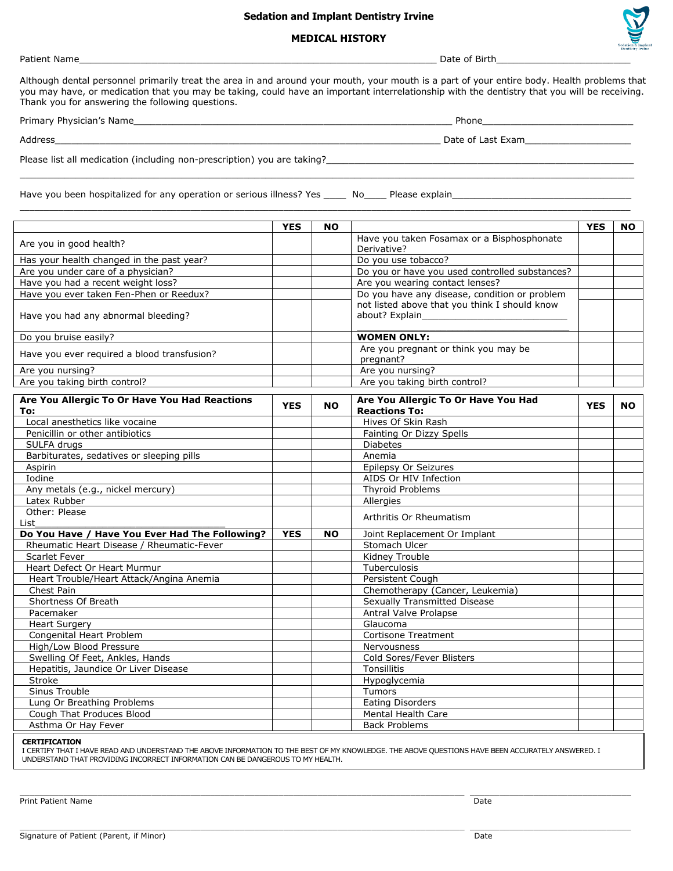#### **Sedation and Implant Dentistry Irvine**

#### **MEDICAL HISTORY**

Patient Name\_\_\_\_\_\_\_\_\_\_\_\_\_\_\_\_\_\_\_\_\_\_\_\_\_\_\_\_\_\_\_\_\_\_\_\_\_\_\_\_\_\_\_\_\_\_\_\_\_\_\_\_\_\_\_\_\_\_\_\_\_\_\_\_ Date of Birth\_\_\_\_\_\_\_\_\_\_\_\_\_\_\_\_\_\_\_\_\_\_\_\_

Although dental personnel primarily treat the area in and around your mouth, your mouth is a part of your entire body. Health problems that you may have, or medication that you may be taking, could have an important interrelationship with the dentistry that you will be receiving. Thank you for answering the following questions.

 $\mathcal{L}_\mathcal{L} = \{ \mathcal{L}_\mathcal{L} = \{ \mathcal{L}_\mathcal{L} = \{ \mathcal{L}_\mathcal{L} = \{ \mathcal{L}_\mathcal{L} = \{ \mathcal{L}_\mathcal{L} = \{ \mathcal{L}_\mathcal{L} = \{ \mathcal{L}_\mathcal{L} = \{ \mathcal{L}_\mathcal{L} = \{ \mathcal{L}_\mathcal{L} = \{ \mathcal{L}_\mathcal{L} = \{ \mathcal{L}_\mathcal{L} = \{ \mathcal{L}_\mathcal{L} = \{ \mathcal{L}_\mathcal{L} = \{ \mathcal{L}_\mathcal{$ 

 $\_$  ,  $\_$  ,  $\_$  ,  $\_$  ,  $\_$  ,  $\_$  ,  $\_$  ,  $\_$  ,  $\_$  ,  $\_$  ,  $\_$  ,  $\_$  ,  $\_$  ,  $\_$  ,  $\_$  ,  $\_$  ,  $\_$  ,  $\_$  ,  $\_$  ,  $\_$  ,  $\_$  ,  $\_$  ,  $\_$  ,  $\_$  ,  $\_$  ,  $\_$  ,  $\_$  ,  $\_$  ,  $\_$  ,  $\_$  ,  $\_$  ,  $\_$  ,  $\_$  ,  $\_$  ,  $\_$  ,  $\_$  ,  $\_$  ,

Primary Physician's Name\_\_\_\_\_\_\_\_\_\_\_\_\_\_\_\_\_\_\_\_\_\_\_\_\_\_\_\_\_\_\_\_\_\_\_\_\_\_\_\_\_\_\_\_\_\_\_\_\_\_\_\_\_\_\_\_\_ Phone\_\_\_\_\_\_\_\_\_\_\_\_\_\_\_\_\_\_\_\_\_\_\_\_\_\_\_

Address\_\_\_\_\_\_\_\_\_\_\_\_\_\_\_\_\_\_\_\_\_\_\_\_\_\_\_\_\_\_\_\_\_\_\_\_\_\_\_\_\_\_\_\_\_\_\_\_\_\_\_\_\_\_\_\_\_\_\_\_\_\_\_\_\_\_\_\_\_ Date of Last Exam\_\_\_\_\_\_\_\_\_\_\_\_\_\_\_\_\_\_\_

Please list all medication (including non-prescription) you are taking?\_\_\_\_\_\_\_\_\_\_

Have you been hospitalized for any operation or serious illness? Yes \_\_\_\_\_\_\_ No\_\_\_\_\_\_\_ Please explain\_\_\_\_\_

|                                                      | <b>YES</b> | <b>NO</b> |                                                                 | <b>YES</b> | <b>NO</b> |
|------------------------------------------------------|------------|-----------|-----------------------------------------------------------------|------------|-----------|
| Are you in good health?                              |            |           | Have you taken Fosamax or a Bisphosphonate<br>Derivative?       |            |           |
| Has your health changed in the past year?            |            |           | Do you use tobacco?                                             |            |           |
| Are you under care of a physician?                   |            |           | Do you or have you used controlled substances?                  |            |           |
| Have you had a recent weight loss?                   |            |           | Are you wearing contact lenses?                                 |            |           |
| Have you ever taken Fen-Phen or Reedux?              |            |           | Do you have any disease, condition or problem                   |            |           |
| Have you had any abnormal bleeding?                  |            |           | not listed above that you think I should know<br>about? Explain |            |           |
| Do you bruise easily?                                |            |           | <b>WOMEN ONLY:</b>                                              |            |           |
| Have you ever required a blood transfusion?          |            |           | Are you pregnant or think you may be<br>pregnant?               |            |           |
| Are you nursing?                                     |            |           | Are you nursing?                                                |            |           |
| Are you taking birth control?                        |            |           | Are you taking birth control?                                   |            |           |
| Are You Allergic To Or Have You Had Reactions<br>To: | <b>YES</b> | <b>NO</b> | Are You Allergic To Or Have You Had<br><b>Reactions To:</b>     | <b>YES</b> | <b>NO</b> |
| Local anesthetics like vocaine                       |            |           | Hives Of Skin Rash                                              |            |           |
| Penicillin or other antibiotics                      |            |           | Fainting Or Dizzy Spells                                        |            |           |
| SULFA drugs                                          |            |           | <b>Diabetes</b>                                                 |            |           |
| Barbiturates, sedatives or sleeping pills            |            |           | Anemia                                                          |            |           |
| Aspirin                                              |            |           | Epilepsy Or Seizures                                            |            |           |
| Iodine                                               |            |           | AIDS Or HIV Infection                                           |            |           |
| Any metals (e.g., nickel mercury)                    |            |           | <b>Thyroid Problems</b>                                         |            |           |
| Latex Rubber                                         |            |           | Allergies                                                       |            |           |
| Other: Please                                        |            |           | Arthritis Or Rheumatism                                         |            |           |
| List                                                 |            |           |                                                                 |            |           |
| Do You Have / Have You Ever Had The Following?       | <b>YES</b> | <b>NO</b> | Joint Replacement Or Implant                                    |            |           |
| Rheumatic Heart Disease / Rheumatic-Fever            |            |           | Stomach Ulcer                                                   |            |           |
| <b>Scarlet Fever</b>                                 |            |           | Kidney Trouble                                                  |            |           |
| Heart Defect Or Heart Murmur                         |            |           | Tuberculosis                                                    |            |           |
| Heart Trouble/Heart Attack/Angina Anemia             |            |           | Persistent Cough                                                |            |           |
| Chest Pain                                           |            |           | Chemotherapy (Cancer, Leukemia)                                 |            |           |
| Shortness Of Breath                                  |            |           | Sexually Transmitted Disease                                    |            |           |
| Pacemaker                                            |            |           | Antral Valve Prolapse                                           |            |           |
| <b>Heart Surgery</b>                                 |            |           | Glaucoma                                                        |            |           |
| Congenital Heart Problem                             |            |           | <b>Cortisone Treatment</b>                                      |            |           |
| High/Low Blood Pressure                              |            |           | Nervousness                                                     |            |           |
| Swelling Of Feet, Ankles, Hands                      |            |           | Cold Sores/Fever Blisters                                       |            |           |
| Hepatitis, Jaundice Or Liver Disease                 |            |           | Tonsillitis                                                     |            |           |
| Stroke                                               |            |           | Hypoglycemia                                                    |            |           |
| Sinus Trouble                                        |            |           | Tumors                                                          |            |           |
| Lung Or Breathing Problems                           |            |           | <b>Eating Disorders</b>                                         |            |           |
| Cough That Produces Blood                            |            |           | Mental Health Care                                              |            |           |
| Asthma Or Hay Fever                                  |            |           | <b>Back Problems</b>                                            |            |           |

**CERTIFICATION**

I CERTIFY THAT I HAVE READ AND UNDERSTAND THE ABOVE INFORMATION TO THE BEST OF MY KNOWLEDGE. THE ABOVE QUESTIONS HAVE BEEN ACCURATELY ANSWERED. I UNDERSTAND THAT PROVIDING INCORRECT INFORMATION CAN BE DANGEROUS TO MY HEALTH.

 $\mathcal{L}_\mathcal{L} = \mathcal{L}_\mathcal{L} = \mathcal{L}_\mathcal{L} = \mathcal{L}_\mathcal{L} = \mathcal{L}_\mathcal{L} = \mathcal{L}_\mathcal{L} = \mathcal{L}_\mathcal{L} = \mathcal{L}_\mathcal{L} = \mathcal{L}_\mathcal{L} = \mathcal{L}_\mathcal{L} = \mathcal{L}_\mathcal{L} = \mathcal{L}_\mathcal{L} = \mathcal{L}_\mathcal{L} = \mathcal{L}_\mathcal{L} = \mathcal{L}_\mathcal{L} = \mathcal{L}_\mathcal{L} = \mathcal{L}_\mathcal{L}$ 

Print Patient Name Date And The Prince of the Contract of the Contract of the Contract of the Date Date Date Date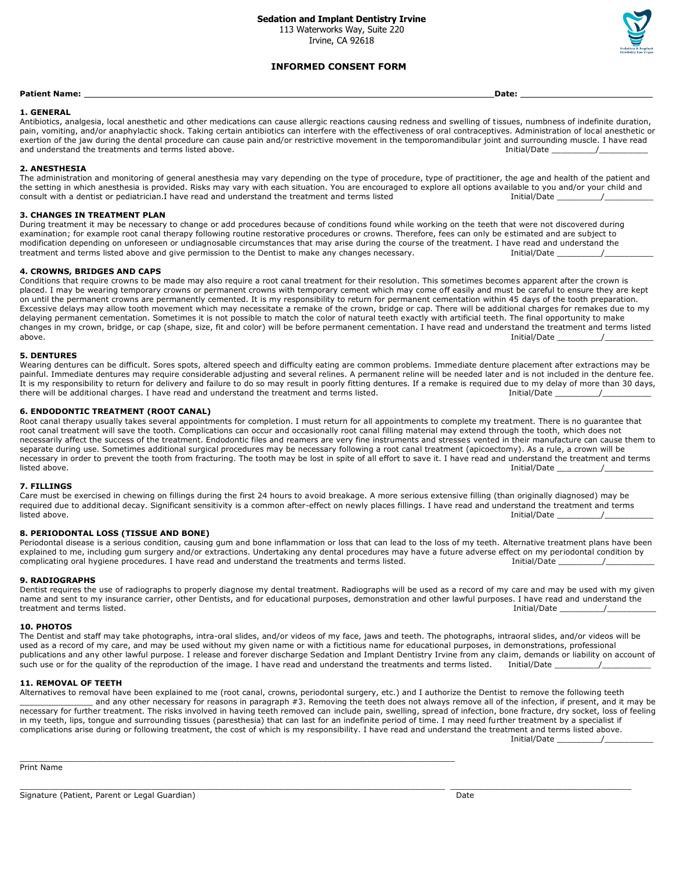113 Waterworks Way, Suite 220 Irvine, CA 92618



#### **INFORMED CONSENT FORM**

#### **Patient Name: Date:**

#### **1. GENERAL**

Antibiotics, analgesia, local anesthetic and other medications can cause allergic reactions causing redness and swelling of tissues, numbness of indefinite duration, pain, vomiting, and/or anaphylactic shock. Taking certain antibiotics can interfere with the effectiveness of oral contraceptives. Administration of local anesthetic or exertion of the jaw during the dental procedure can cause pain and/or restrictive movement in the temporomandibular joint and surrounding muscle. I have read and understand the treatments and terms listed above. Initial/Date \_\_\_\_\_\_\_\_\_/\_\_\_\_\_\_\_\_\_\_

#### **2. ANESTHESIA**

The administration and monitoring of general anesthesia may vary depending on the type of procedure, type of practitioner, the age and health of the patient and the setting in which anesthesia is provided. Risks may vary with each situation. You are encouraged to explore all options available to you and/or your child and consult with a dentist or pediatrician.I have read and understand the treatment and terms listed Initial/Date \_\_\_\_\_\_\_\_\_/\_\_\_\_\_\_\_\_\_\_

#### **3. CHANGES IN TREATMENT PLAN**

During treatment it may be necessary to change or add procedures because of conditions found while working on the teeth that were not discovered during examination; for example root canal therapy following routine restorative procedures or crowns. Therefore, fees can only be estimated and are subject to modification depending on unforeseen or undiagnosable circumstances that may arise during the course of the treatment. I have read and understand the treatment and terms listed above and give permission to the Dentist to m treatment and terms listed above and give permission to the Dentist to make any changes necessary.

#### **4. CROWNS, BRIDGES AND CAPS**

Conditions that require crowns to be made may also require a root canal treatment for their resolution. This sometimes becomes apparent after the crown is placed. I may be wearing temporary crowns or permanent crowns with temporary cement which may come off easily and must be careful to ensure they are kept on until the permanent crowns are permanently cemented. It is my responsibility to return for permanent cementation within 45 days of the tooth preparation. Excessive delays may allow tooth movement which may necessitate a remake of the crown, bridge or cap. There will be additional charges for remakes due to my delaying permanent cementation. Sometimes it is not possible to match the color of natural teeth exactly with artificial teeth. The final opportunity to make changes in my crown, bridge, or cap (shape, size, fit and color) will be before permanent cementation. I have read and understand the treatment and terms listed<br>above. [Initial/Date above. Initial/Date \_\_\_\_\_\_\_\_\_/\_\_\_\_\_\_\_\_\_\_

#### **5. DENTURES**

Wearing dentures can be difficult. Sores spots, altered speech and difficulty eating are common problems. Immediate denture placement after extractions may be painful. Immediate dentures may require considerable adjusting and several relines. A permanent reline will be needed later and is not included in the denture fee. It is my responsibility to return for delivery and failure to do so may result in poorly fitting dentures. If a remake is required due to my delay of more than 30 days,<br>there will be additional charges. I have read and und there will be additional charges. I have read and understand the treatment and terms listed.

#### **6. ENDODONTIC TREATMENT (ROOT CANAL)**

Root canal therapy usually takes several appointments for completion. I must return for all appointments to complete my treatment. There is no guarantee that root canal treatment will save the tooth. Complications can occur and occasionally root canal filling material may extend through the tooth, which does not necessarily affect the success of the treatment. Endodontic files and reamers are very fine instruments and stresses vented in their manufacture can cause them to separate during use. Sometimes additional surgical procedures may be necessary following a root canal treatment (apicoectomy). As a rule, a crown will be necessary in order to prevent the tooth from fracturing. The tooth may be lost in spite of all effort to save it. I have read and understand the treatment and terms listed above. Initial/Date \_\_\_\_\_\_\_\_\_/\_\_\_\_\_\_\_\_\_\_

#### **7. FILLINGS**

Care must be exercised in chewing on fillings during the first 24 hours to avoid breakage. A more serious extensive filling (than originally diagnosed) may be required due to additional decay. Significant sensitivity is a common after-effect on newly places fillings. I have read and understand the treatment and terms<br>/ / Initial/Date listed above. Initial/Date \_\_\_\_\_\_\_\_\_/\_\_\_\_\_\_\_\_\_\_

#### **8. PERIODONTAL LOSS (TISSUE AND BONE)**

Periodontal disease is a serious condition, causing gum and bone inflammation or loss that can lead to the loss of my teeth. Alternative treatment plans have been explained to me, including gum surgery and/or extractions. Undertaking any dental procedures may have a future adverse effect on my periodontal condition by<br>complicating oral hygiene procedures. I have read and understand complicating oral hygiene procedures. I have read and understand the treatments and terms listed.

#### **9. RADIOGRAPHS**

Dentist requires the use of radiographs to properly diagnose my dental treatment. Radiographs will be used as a record of my care and may be used with my given name and sent to my insurance carrier, other Dentists, and for educational purposes, demonstration and other lawful purposes. I have read and understand the treatment and terms listed. Initial/Date the state of the state of the state of the state of the state of the state of the state of the state of the state of the state of the state of the state of the state of the state of

#### **10. PHOTOS**

The Dentist and staff may take photographs, intra-oral slides, and/or videos of my face, jaws and teeth. The photographs, intraoral slides, and/or videos will be used as a record of my care, and may be used without my given name or with a fictitious name for educational purposes, in demonstrations, professional publications and any other lawful purpose. I release and forever discharge Sedation and Implant Dentistry Irvine from any claim, demands or liability on account of such use or for the quality of the reproduction of the image. I have read and understand the treatments and terms listed. Initial/Date

#### **11. REMOVAL OF TEETH**

Alternatives to removal have been explained to me (root canal, crowns, periodontal surgery, etc.) and I authorize the Dentist to remove the following teeth \_\_\_\_\_\_\_\_\_\_\_\_\_\_\_ and any other necessary for reasons in paragraph #3. Removing the teeth does not always remove all of the infection, if present, and it may be necessary for further treatment. The risks involved in having teeth removed can include pain, swelling, spread of infection, bone fracture, dry socket, loss of feeling in my teeth, lips, tongue and surrounding tissues (paresthesia) that can last for an indefinite period of time. I may need further treatment by a specialist if complications arise during or following treatment, the cost of which is my responsibility. I have read and understand the treatment and terms listed above. Initial/Date \_\_\_\_\_\_\_\_\_/\_\_\_\_\_\_\_\_\_\_

\_\_\_\_\_\_\_\_\_\_\_\_\_\_\_\_\_\_\_\_\_\_\_\_\_\_\_\_\_\_\_\_\_\_\_\_\_\_\_\_\_\_\_\_\_\_\_\_\_\_\_\_\_\_\_\_\_\_\_\_\_\_\_\_\_\_\_\_\_\_\_\_\_\_\_\_\_\_\_\_\_\_\_\_\_\_\_ \_\_\_\_\_\_\_\_\_\_\_\_\_\_\_\_\_\_\_\_\_\_\_\_\_\_\_\_\_\_\_\_\_\_\_\_\_

 $\mathcal{L}_\mathcal{L} = \{ \mathcal{L}_\mathcal{L} = \{ \mathcal{L}_\mathcal{L} = \{ \mathcal{L}_\mathcal{L} = \{ \mathcal{L}_\mathcal{L} = \{ \mathcal{L}_\mathcal{L} = \{ \mathcal{L}_\mathcal{L} = \{ \mathcal{L}_\mathcal{L} = \{ \mathcal{L}_\mathcal{L} = \{ \mathcal{L}_\mathcal{L} = \{ \mathcal{L}_\mathcal{L} = \{ \mathcal{L}_\mathcal{L} = \{ \mathcal{L}_\mathcal{L} = \{ \mathcal{L}_\mathcal{L} = \{ \mathcal{L}_\mathcal{$ 

Print Name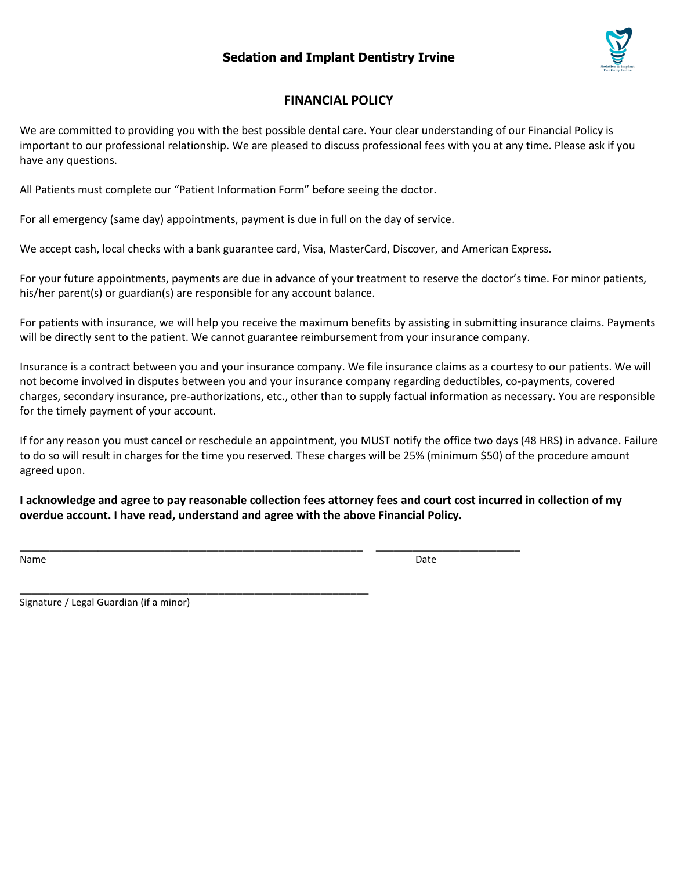# **Sedation and Implant Dentistry Irvine**



## **FINANCIAL POLICY**

We are committed to providing you with the best possible dental care. Your clear understanding of our Financial Policy is important to our professional relationship. We are pleased to discuss professional fees with you at any time. Please ask if you have any questions.

All Patients must complete our "Patient Information Form" before seeing the doctor.

For all emergency (same day) appointments, payment is due in full on the day of service.

We accept cash, local checks with a bank guarantee card, Visa, MasterCard, Discover, and American Express.

For your future appointments, payments are due in advance of your treatment to reserve the doctor's time. For minor patients, his/her parent(s) or guardian(s) are responsible for any account balance.

For patients with insurance, we will help you receive the maximum benefits by assisting in submitting insurance claims. Payments will be directly sent to the patient. We cannot guarantee reimbursement from your insurance company.

Insurance is a contract between you and your insurance company. We file insurance claims as a courtesy to our patients. We will not become involved in disputes between you and your insurance company regarding deductibles, co-payments, covered charges, secondary insurance, pre-authorizations, etc., other than to supply factual information as necessary. You are responsible for the timely payment of your account.

If for any reason you must cancel or reschedule an appointment, you MUST notify the office two days (48 HRS) in advance. Failure to do so will result in charges for the time you reserved. These charges will be 25% (minimum \$50) of the procedure amount agreed upon.

**I acknowledge and agree to pay reasonable collection fees attorney fees and court cost incurred in collection of my overdue account. I have read, understand and agree with the above Financial Policy.**

\_\_\_\_\_\_\_\_\_\_\_\_\_\_\_\_\_\_\_\_\_\_\_\_\_\_\_\_\_\_\_\_\_\_\_\_\_\_\_\_\_\_\_\_\_\_\_\_\_\_\_\_\_\_\_\_\_ \_\_\_\_\_\_\_\_\_\_\_\_\_\_\_\_\_\_\_\_\_\_\_\_

\_\_\_\_\_\_\_\_\_\_\_\_\_\_\_\_\_\_\_\_\_\_\_\_\_\_\_\_\_\_\_\_\_\_\_\_\_\_\_\_\_\_\_\_\_\_\_\_\_\_\_\_\_\_\_\_\_\_

Name Date **Date of the United States and States and States and States and States and States and States and States and States and States and States and States and States and States and States and States and States and State** 

Signature / Legal Guardian (if a minor)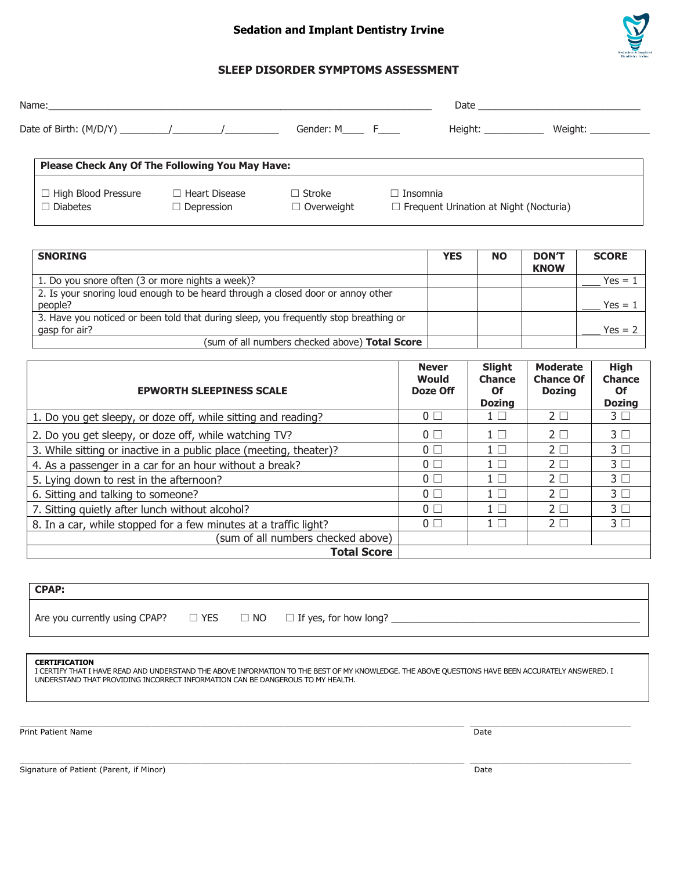### **Sedation and Implant Dentistry Irvine**



### **SLEEP DISORDER SYMPTOMS ASSESSMENT**

| Name: |             | Date    |         |
|-------|-------------|---------|---------|
|       | Gender: M F | Height: | Weight: |

# **Please Check Any Of The Following You May Have:** ☐ High Blood Pressure ☐ Heart Disease ☐ Stroke ☐ Insomnia ☐ Diabetes ☐ Depression ☐ Overweight ☐ Frequent Urination at Night (Nocturia)

| <b>SNORING</b>                                                                                        | <b>YES</b> | <b>NO</b> | <b>DON'T</b><br><b>KNOW</b> | <b>SCORE</b> |
|-------------------------------------------------------------------------------------------------------|------------|-----------|-----------------------------|--------------|
| 1. Do you snore often (3 or more nights a week)?                                                      |            |           |                             | Yes = 1      |
| 2. Is your snoring loud enough to be heard through a closed door or annoy other<br>people?            |            |           |                             | Yes = $1$    |
| 3. Have you noticed or been told that during sleep, you frequently stop breathing or<br>gasp for air? |            |           |                             | $Yes = 2$    |
| (sum of all numbers checked above) Total Score                                                        |            |           |                             |              |

| <b>EPWORTH SLEEPINESS SCALE</b>                                    | <b>Never</b><br>Would<br>Doze Off | <b>Slight</b><br><b>Chance</b><br><b>Of</b><br><b>Dozing</b> | <b>Moderate</b><br><b>Chance Of</b><br><b>Dozing</b> | <b>High</b><br><b>Chance</b><br>Of<br><b>Dozing</b> |
|--------------------------------------------------------------------|-----------------------------------|--------------------------------------------------------------|------------------------------------------------------|-----------------------------------------------------|
| 1. Do you get sleepy, or doze off, while sitting and reading?      | $0\Box$                           | $1 \mid$ $\mid$                                              | $2\Box$                                              | $3\square$                                          |
| 2. Do you get sleepy, or doze off, while watching TV?              | $0\Box$                           | $1 \Box$                                                     | $2\Box$                                              | 3 <sub>1</sub>                                      |
| 3. While sitting or inactive in a public place (meeting, theater)? | $0\Box$                           | $1 \Box$                                                     | $2\Box$                                              | $3\Box$                                             |
| 4. As a passenger in a car for an hour without a break?            | $0\Box$                           | $1 \Box$                                                     | $2\Box$                                              | 3 <sub>1</sub>                                      |
| 5. Lying down to rest in the afternoon?                            | $0\Box$                           | $1 \Box$                                                     | $2\Box$                                              | 3 <sub>1</sub>                                      |
| 6. Sitting and talking to someone?                                 | 0 <sub>0</sub>                    | $1 \Box$                                                     | $2\Box$                                              | 3 <sub>1</sub>                                      |
| 7. Sitting quietly after lunch without alcohol?                    | 0 <sub>0</sub>                    | $1 \Box$                                                     | $2\Box$                                              | $3\Box$                                             |
| 8. In a car, while stopped for a few minutes at a traffic light?   | $0\Box$                           | $1 \Box$                                                     | $2\Box$                                              | $3\Box$                                             |
| (sum of all numbers checked above)                                 |                                   |                                                              |                                                      |                                                     |
| <b>Total Score</b>                                                 |                                   |                                                              |                                                      |                                                     |

**CPAP:** Are you currently using CPAP?  $\Box$  YES  $\Box$  NO  $\Box$  If yes, for how long?

#### **CERTIFICATION**

I CERTIFY THAT I HAVE READ AND UNDERSTAND THE ABOVE INFORMATION TO THE BEST OF MY KNOWLEDGE. THE ABOVE QUESTIONS HAVE BEEN ACCURATELY ANSWERED. I UNDERSTAND THAT PROVIDING INCORRECT INFORMATION CAN BE DANGEROUS TO MY HEALTH.

 $\mathcal{L}_\mathcal{L} = \mathcal{L}_\mathcal{L} = \mathcal{L}_\mathcal{L} = \mathcal{L}_\mathcal{L} = \mathcal{L}_\mathcal{L} = \mathcal{L}_\mathcal{L} = \mathcal{L}_\mathcal{L} = \mathcal{L}_\mathcal{L} = \mathcal{L}_\mathcal{L} = \mathcal{L}_\mathcal{L} = \mathcal{L}_\mathcal{L} = \mathcal{L}_\mathcal{L} = \mathcal{L}_\mathcal{L} = \mathcal{L}_\mathcal{L} = \mathcal{L}_\mathcal{L} = \mathcal{L}_\mathcal{L} = \mathcal{L}_\mathcal{L}$ 

Print Patient Name Date of the United States of the United States of the United States of the Date of the United States of the United States of the United States of the United States of the United States of the United Stat

Signature of Patient (Parent, if Minor) Date